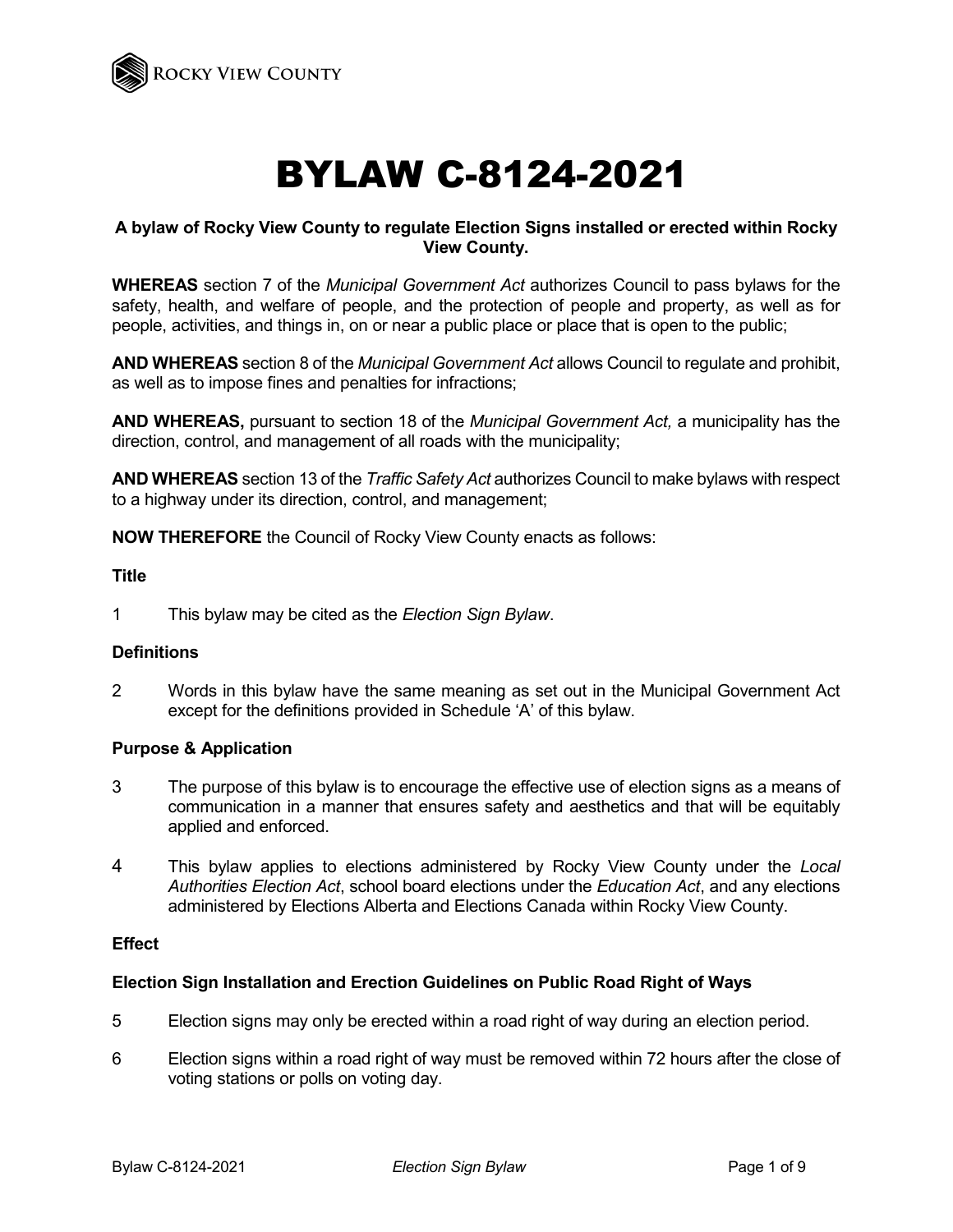

# BYLAW C-8124-2021

## **A bylaw of Rocky View County to regulate Election Signs installed or erected within Rocky View County.**

**WHEREAS** section 7 of the *Municipal Government Act* authorizes Council to pass bylaws for the safety, health, and welfare of people, and the protection of people and property, as well as for people, activities, and things in, on or near a public place or place that is open to the public;

**AND WHEREAS** section 8 of the *Municipal Government Act* allows Council to regulate and prohibit, as well as to impose fines and penalties for infractions;

**AND WHEREAS,** pursuant to section 18 of the *Municipal Government Act,* a municipality has the direction, control, and management of all roads with the municipality;

**AND WHEREAS** section 13 of the *Traffic Safety Act* authorizes Council to make bylaws with respect to a highway under its direction, control, and management;

**NOW THEREFORE** the Council of Rocky View County enacts as follows:

#### **Title**

1 This bylaw may be cited as the *Election Sign Bylaw*.

#### **Definitions**

2 Words in this bylaw have the same meaning as set out in the Municipal Government Act except for the definitions provided in Schedule 'A' of this bylaw.

#### **Purpose & Application**

- 3 The purpose of this bylaw is to encourage the effective use of election signs as a means of communication in a manner that ensures safety and aesthetics and that will be equitably applied and enforced.
- 4 This bylaw applies to elections administered by Rocky View County under the *Local Authorities Election Act*, school board elections under the *Education Act*, and any elections administered by Elections Alberta and Elections Canada within Rocky View County.

#### **Effect**

#### **Election Sign Installation and Erection Guidelines on Public Road Right of Ways**

- 5 Election signs may only be erected within a road right of way during an election period.
- 6 Election signs within a road right of way must be removed within 72 hours after the close of voting stations or polls on voting day.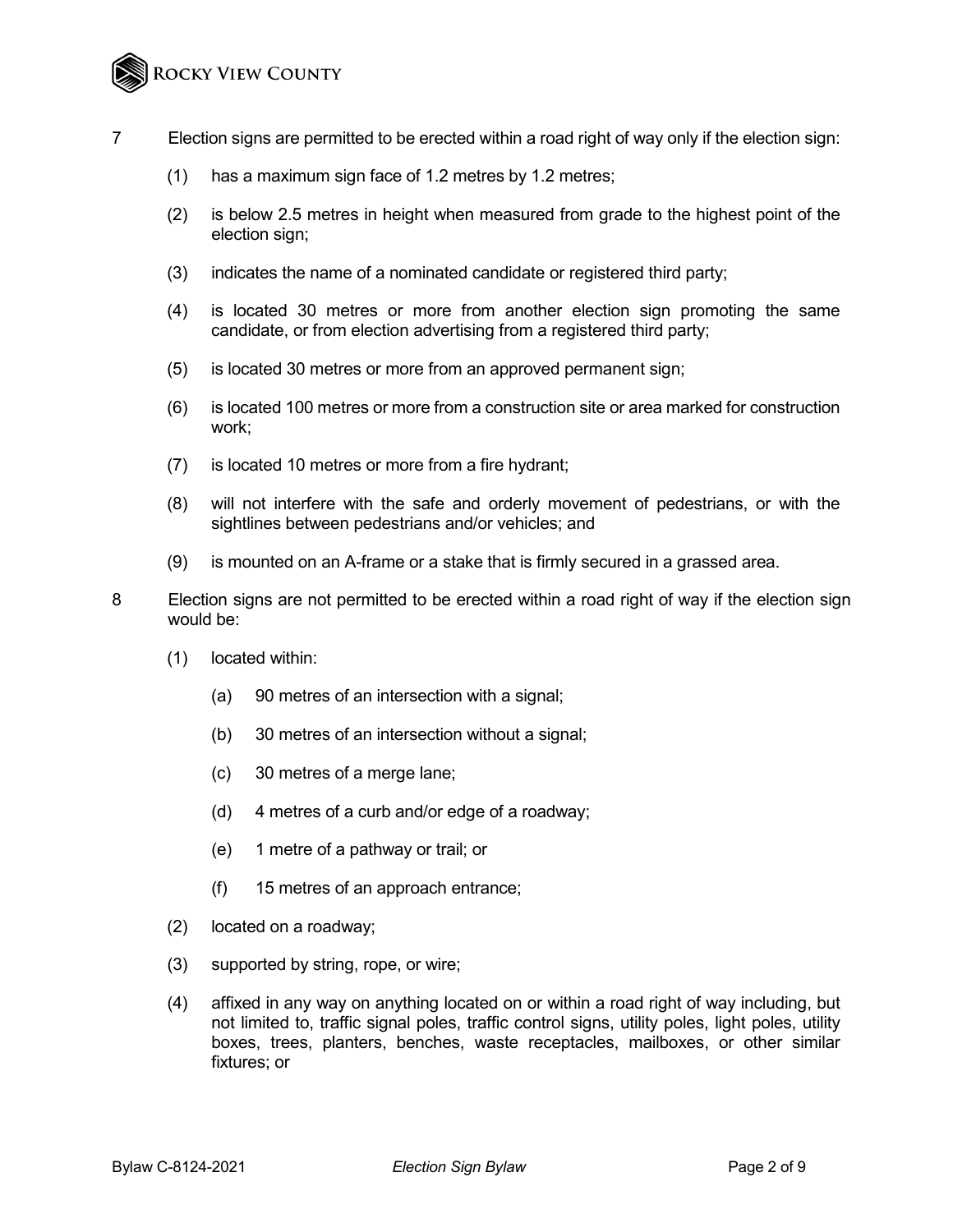- 7 Election signs are permitted to be erected within a road right of way only if the election sign:
	- (1) has a maximum sign face of 1.2 metres by 1.2 metres;
	- (2) is below 2.5 metres in height when measured from grade to the highest point of the election sign;
	- (3) indicates the name of a nominated candidate or registered third party;
	- (4) is located 30 metres or more from another election sign promoting the same candidate, or from election advertising from a registered third party;
	- (5) is located 30 metres or more from an approved permanent sign;
	- (6) is located 100 metres or more from a construction site or area marked for construction work;
	- (7) is located 10 metres or more from a fire hydrant;
	- (8) will not interfere with the safe and orderly movement of pedestrians, or with the sightlines between pedestrians and/or vehicles; and
	- (9) is mounted on an A-frame or a stake that is firmly secured in a grassed area.
- 8 Election signs are not permitted to be erected within a road right of way if the election sign would be:
	- (1) located within:
		- (a) 90 metres of an intersection with a signal;
		- (b) 30 metres of an intersection without a signal;
		- (c) 30 metres of a merge lane;
		- (d) 4 metres of a curb and/or edge of a roadway;
		- (e) 1 metre of a pathway or trail; or
		- (f) 15 metres of an approach entrance;
	- (2) located on a roadway;
	- (3) supported by string, rope, or wire;
	- (4) affixed in any way on anything located on or within a road right of way including, but not limited to, traffic signal poles, traffic control signs, utility poles, light poles, utility boxes, trees, planters, benches, waste receptacles, mailboxes, or other similar fixtures; or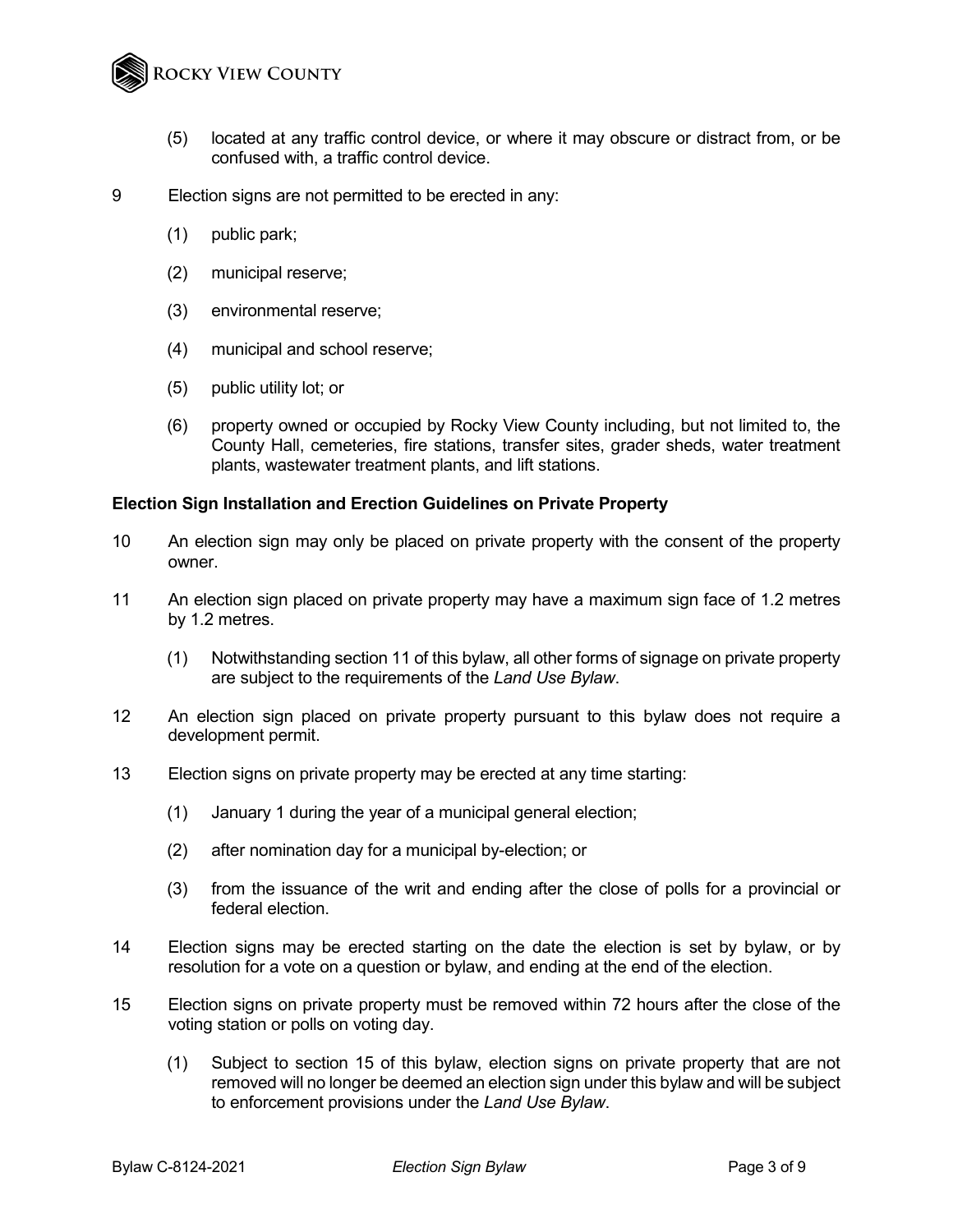

- (5) located at any traffic control device, or where it may obscure or distract from, or be confused with, a traffic control device.
- 9 Election signs are not permitted to be erected in any:
	- (1) public park;
	- (2) municipal reserve;
	- (3) environmental reserve;
	- (4) municipal and school reserve;
	- (5) public utility lot; or
	- (6) property owned or occupied by Rocky View County including, but not limited to, the County Hall, cemeteries, fire stations, transfer sites, grader sheds, water treatment plants, wastewater treatment plants, and lift stations.

#### **Election Sign Installation and Erection Guidelines on Private Property**

- 10 An election sign may only be placed on private property with the consent of the property owner.
- 11 An election sign placed on private property may have a maximum sign face of 1.2 metres by 1.2 metres.
	- (1) Notwithstanding section 11 of this bylaw, all other forms of signage on private property are subject to the requirements of the *Land Use Bylaw*.
- 12 An election sign placed on private property pursuant to this bylaw does not require a development permit.
- 13 Election signs on private property may be erected at any time starting:
	- (1) January 1 during the year of a municipal general election;
	- (2) after nomination day for a municipal by-election; or
	- (3) from the issuance of the writ and ending after the close of polls for a provincial or federal election.
- 14 Election signs may be erected starting on the date the election is set by bylaw, or by resolution for a vote on a question or bylaw, and ending at the end of the election.
- 15 Election signs on private property must be removed within 72 hours after the close of the voting station or polls on voting day.
	- (1) Subject to section 15 of this bylaw, election signs on private property that are not removed will no longer be deemed an election sign under this bylaw and will be subject to enforcement provisions under the *Land Use Bylaw*.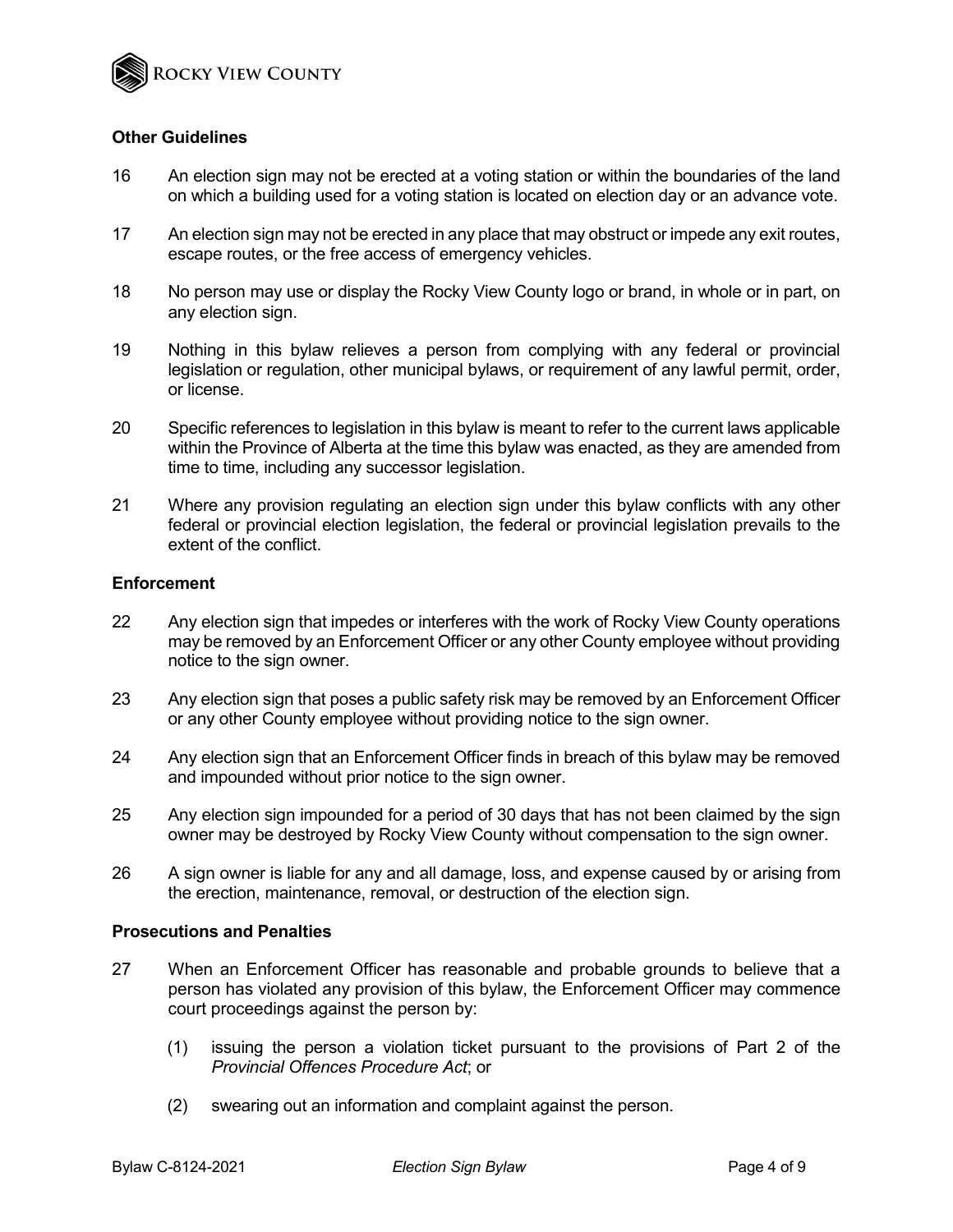

#### **Other Guidelines**

- 16 An election sign may not be erected at a voting station or within the boundaries of the land on which a building used for a voting station is located on election day or an advance vote.
- 17 An election sign may not be erected in any place that may obstruct or impede any exit routes, escape routes, or the free access of emergency vehicles.
- 18 No person may use or display the Rocky View County logo or brand, in whole or in part, on any election sign.
- 19 Nothing in this bylaw relieves a person from complying with any federal or provincial legislation or regulation, other municipal bylaws, or requirement of any lawful permit, order, or license.
- 20 Specific references to legislation in this bylaw is meant to refer to the current laws applicable within the Province of Alberta at the time this bylaw was enacted, as they are amended from time to time, including any successor legislation.
- 21 Where any provision regulating an election sign under this bylaw conflicts with any other federal or provincial election legislation, the federal or provincial legislation prevails to the extent of the conflict.

#### **Enforcement**

- 22 Any election sign that impedes or interferes with the work of Rocky View County operations may be removed by an Enforcement Officer or any other County employee without providing notice to the sign owner.
- 23 Any election sign that poses a public safety risk may be removed by an Enforcement Officer or any other County employee without providing notice to the sign owner.
- 24 Any election sign that an Enforcement Officer finds in breach of this bylaw may be removed and impounded without prior notice to the sign owner.
- 25 Any election sign impounded for a period of 30 days that has not been claimed by the sign owner may be destroyed by Rocky View County without compensation to the sign owner.
- 26 A sign owner is liable for any and all damage, loss, and expense caused by or arising from the erection, maintenance, removal, or destruction of the election sign.

#### **Prosecutions and Penalties**

- 27 When an Enforcement Officer has reasonable and probable grounds to believe that a person has violated any provision of this bylaw, the Enforcement Officer may commence court proceedings against the person by:
	- (1) issuing the person a violation ticket pursuant to the provisions of Part 2 of the *Provincial Offences Procedure Act*; or
	- (2) swearing out an information and complaint against the person.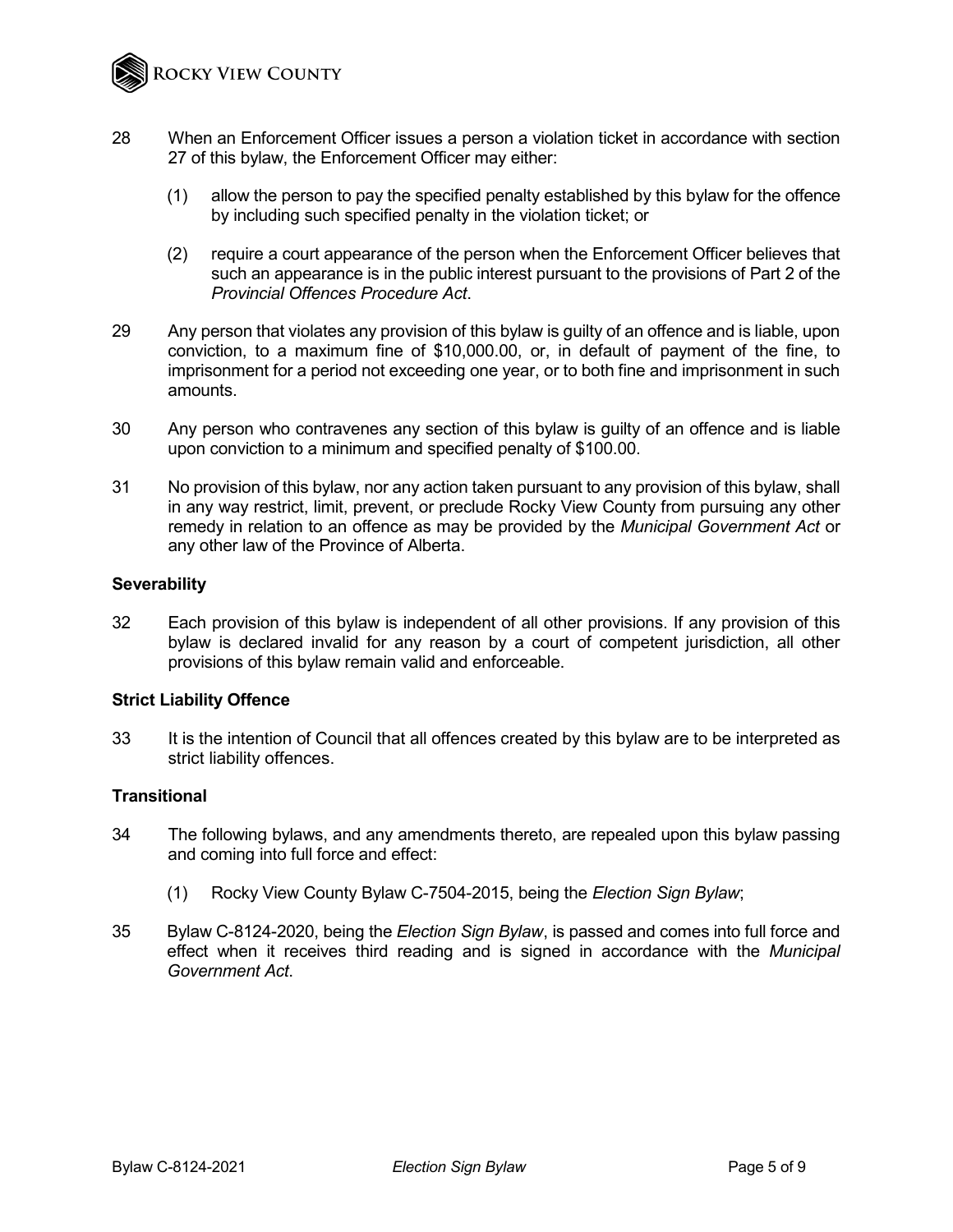

- 28 When an Enforcement Officer issues a person a violation ticket in accordance with section 27 of this bylaw, the Enforcement Officer may either:
	- (1) allow the person to pay the specified penalty established by this bylaw for the offence by including such specified penalty in the violation ticket; or
	- (2) require a court appearance of the person when the Enforcement Officer believes that such an appearance is in the public interest pursuant to the provisions of Part 2 of the *Provincial Offences Procedure Act*.
- 29 Any person that violates any provision of this bylaw is guilty of an offence and is liable, upon conviction, to a maximum fine of \$10,000.00, or, in default of payment of the fine, to imprisonment for a period not exceeding one year, or to both fine and imprisonment in such amounts.
- 30 Any person who contravenes any section of this bylaw is guilty of an offence and is liable upon conviction to a minimum and specified penalty of \$100.00.
- 31 No provision of this bylaw, nor any action taken pursuant to any provision of this bylaw, shall in any way restrict, limit, prevent, or preclude Rocky View County from pursuing any other remedy in relation to an offence as may be provided by the *Municipal Government Act* or any other law of the Province of Alberta.

#### **Severability**

32 Each provision of this bylaw is independent of all other provisions. If any provision of this bylaw is declared invalid for any reason by a court of competent jurisdiction, all other provisions of this bylaw remain valid and enforceable.

#### **Strict Liability Offence**

33 It is the intention of Council that all offences created by this bylaw are to be interpreted as strict liability offences.

#### **Transitional**

- 34 The following bylaws, and any amendments thereto, are repealed upon this bylaw passing and coming into full force and effect:
	- (1) Rocky View County Bylaw C-7504-2015, being the *Election Sign Bylaw*;
- 35 Bylaw C-8124-2020, being the *Election Sign Bylaw*, is passed and comes into full force and effect when it receives third reading and is signed in accordance with the *Municipal Government Act*.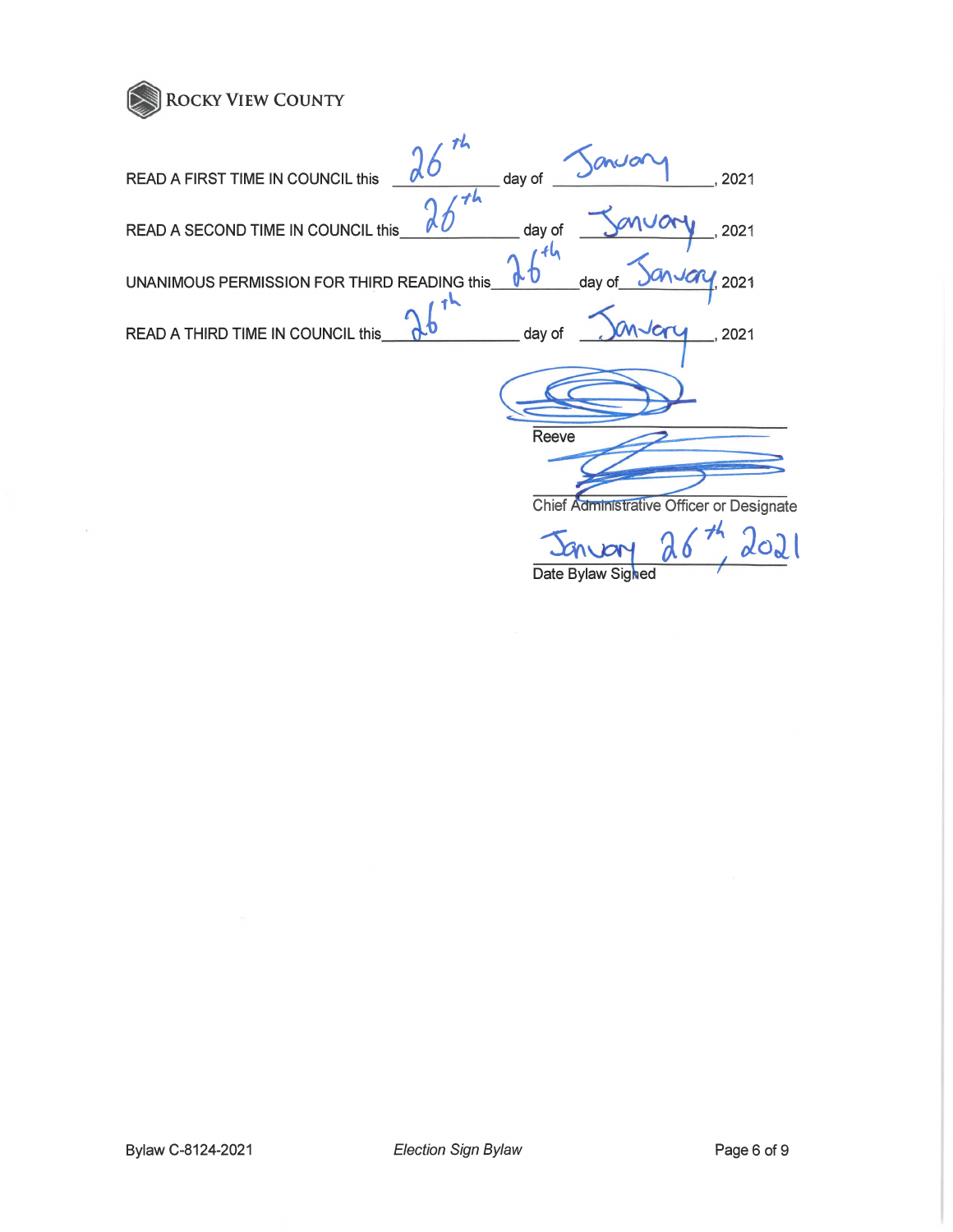

| Th                                                            |
|---------------------------------------------------------------|
| day of<br>READ A FIRST TIME IN COUNCIL this<br>2021           |
| day of<br>READ A SECOND TIME IN COUNCIL this<br>2021          |
| 2021<br>day of<br>UNANIMOUS PERMISSION FOR THIRD READING this |
| day of<br>READ A THIRD TIME IN COUNCIL this<br>2021           |
|                                                               |
| Reeve                                                         |
| Chief Administrative Officer or Designate                     |
|                                                               |
| Date Bylaw Sighed                                             |

 $\bar{\nu}$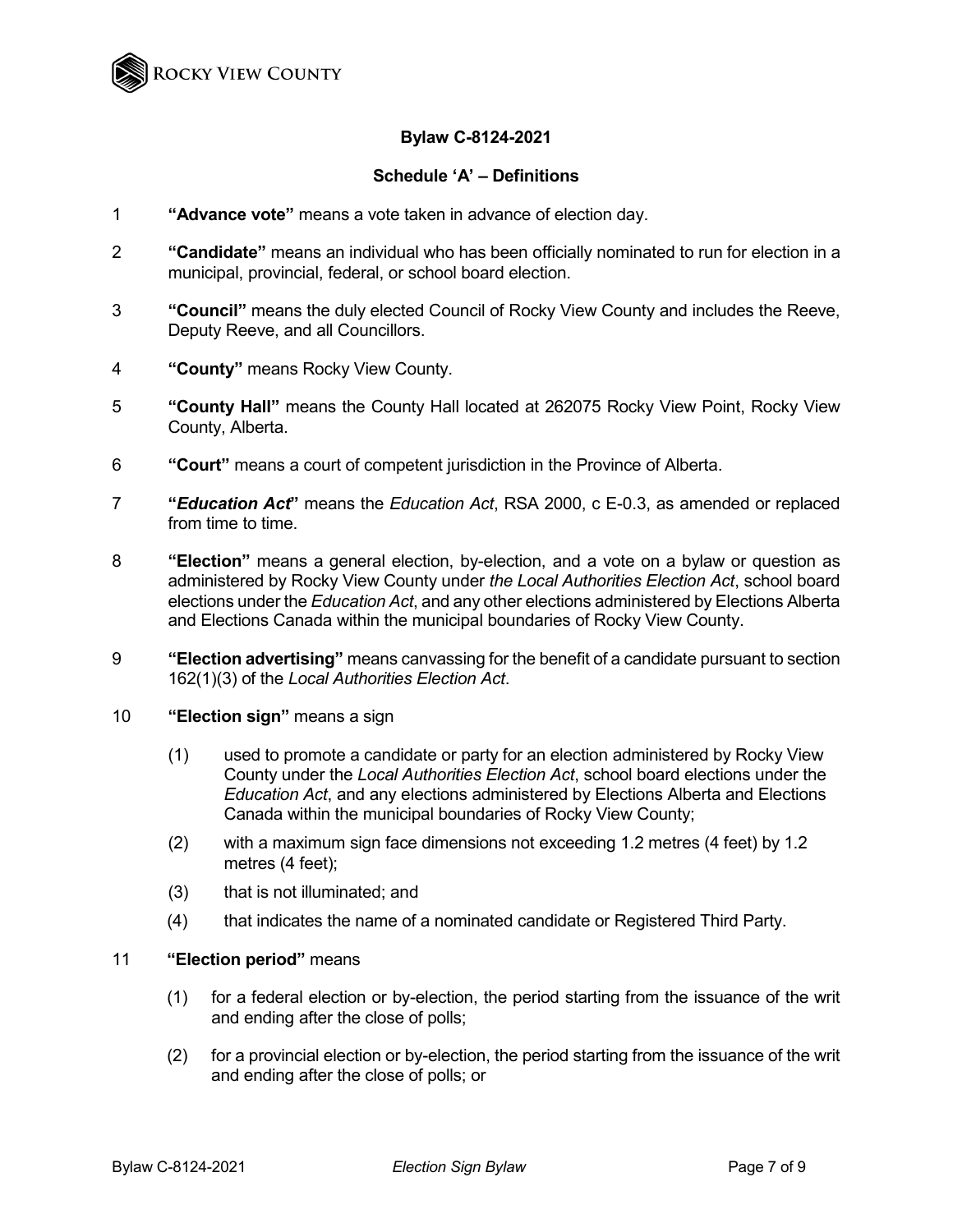

## **Bylaw C-8124-2021**

### **Schedule 'A' – Definitions**

- 1 **"Advance vote"** means a vote taken in advance of election day.
- 2 **"Candidate"** means an individual who has been officially nominated to run for election in a municipal, provincial, federal, or school board election.
- 3 **"Council"** means the duly elected Council of Rocky View County and includes the Reeve, Deputy Reeve, and all Councillors.
- 4 **"County"** means Rocky View County.
- 5 **"County Hall"** means the County Hall located at 262075 Rocky View Point, Rocky View County, Alberta.
- 6 **"Court"** means a court of competent jurisdiction in the Province of Alberta.
- 7 **"***Education Act***"** means the *Education Act*, RSA 2000, c E-0.3, as amended or replaced from time to time.
- 8 **"Election"** means a general election, by-election, and a vote on a bylaw or question as administered by Rocky View County under *the Local Authorities Election Act*, school board elections under the *Education Act*, and any other elections administered by Elections Alberta and Elections Canada within the municipal boundaries of Rocky View County.
- 9 **"Election advertising"** means canvassing for the benefit of a candidate pursuant to section 162(1)(3) of the *Local Authorities Election Act*.
- 10 **"Election sign"** means a sign
	- (1) used to promote a candidate or party for an election administered by Rocky View County under the *Local Authorities Election Act*, school board elections under the *Education Act*, and any elections administered by Elections Alberta and Elections Canada within the municipal boundaries of Rocky View County;
	- (2) with a maximum sign face dimensions not exceeding 1.2 metres (4 feet) by 1.2 metres (4 feet);
	- (3) that is not illuminated; and
	- (4) that indicates the name of a nominated candidate or Registered Third Party.

#### 11 **"Election period"** means

- (1) for a federal election or by-election, the period starting from the issuance of the writ and ending after the close of polls;
- (2) for a provincial election or by-election, the period starting from the issuance of the writ and ending after the close of polls; or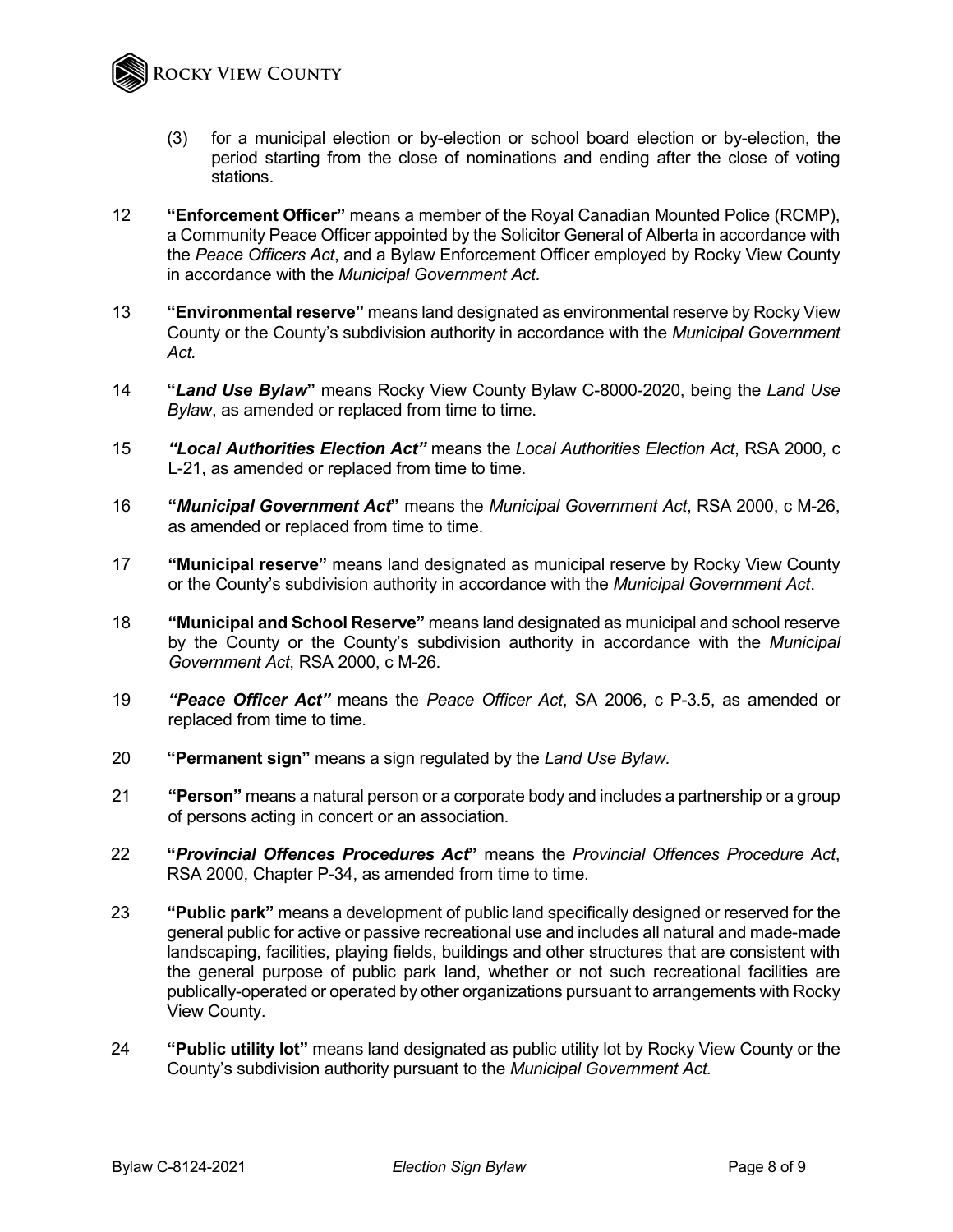

- (3) for a municipal election or by-election or school board election or by-election, the period starting from the close of nominations and ending after the close of voting stations.
- 12 **"Enforcement Officer"** means a member of the Royal Canadian Mounted Police (RCMP), a Community Peace Officer appointed by the Solicitor General of Alberta in accordance with the *Peace Officers Act*, and a Bylaw Enforcement Officer employed by Rocky View County in accordance with the *Municipal Government Act.*
- 13 **"Environmental reserve"** means land designated as environmental reserve by Rocky View County or the County's subdivision authority in accordance with the *Municipal Government Act.*
- 14 **"***Land Use Bylaw***"** means Rocky View County Bylaw C-8000-2020, being the *Land Use Bylaw*, as amended or replaced from time to time.
- 15 *"Local Authorities Election Act"* means the *Local Authorities Election Act*, RSA 2000, c L-21, as amended or replaced from time to time.
- 16 **"***Municipal Government Act***"** means the *Municipal Government Act*, RSA 2000, c M-26, as amended or replaced from time to time.
- 17 **"Municipal reserve"** means land designated as municipal reserve by Rocky View County or the County's subdivision authority in accordance with the *Municipal Government Act*.
- 18 **"Municipal and School Reserve"** means land designated as municipal and school reserve by the County or the County's subdivision authority in accordance with the *Municipal Government Act*, RSA 2000, c M-26.
- 19 *"Peace Officer Act"* means the *Peace Officer Act*, SA 2006, c P-3.5, as amended or replaced from time to time.
- 20 **"Permanent sign"** means a sign regulated by the *Land Use Bylaw.*
- 21 **"Person"** means a natural person or a corporate body and includes a partnership or a group of persons acting in concert or an association.
- 22 **"***Provincial Offences Procedures Act***"** means the *Provincial Offences Procedure Act*, RSA 2000, Chapter P-34, as amended from time to time.
- 23 **"Public park"** means a development of public land specifically designed or reserved for the general public for active or passive recreational use and includes all natural and made-made landscaping, facilities, playing fields, buildings and other structures that are consistent with the general purpose of public park land, whether or not such recreational facilities are publically-operated or operated by other organizations pursuant to arrangements with Rocky View County.
- 24 **"Public utility lot"** means land designated as public utility lot by Rocky View County or the County's subdivision authority pursuant to the *Municipal Government Act.*